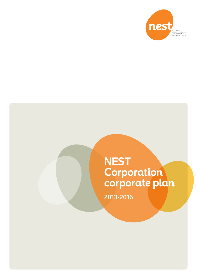

## **NEST Corporation corporate plan**

2013-2016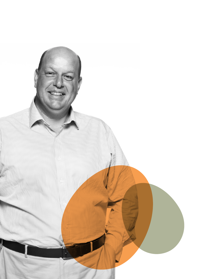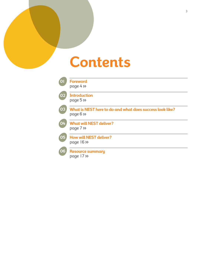# **Contents**

| 0  | <b>Foreword</b><br>page $4 \gg$                                          |
|----|--------------------------------------------------------------------------|
| 02 | <b>Introduction</b><br>page $5 \gg$                                      |
| 03 | What is NEST here to do and what does success look like?<br>page $6 \gg$ |
| 04 | <b>What will NEST deliver?</b><br>page $7 \rightarrow$                   |
| 05 | <b>How will NEST deliver?</b><br>page $16$ $\rightarrow$                 |
| 06 | <b>Resource summary</b><br>page $17$ $\rightarrow$                       |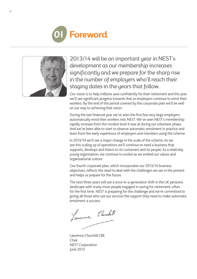



2013/14 will be an important year in NEST's development as our membership increases significantly and we prepare for the sharp rise in the number of employers who'll reach their staging dates in the years that follow.

Our vision is to help millions save confidently for their retirement and this year we'll see significant progress towards that as employers continue to enrol their workers. By the end of the period covered by this corporate plan we'll be well on our way to achieving that vision.

During the last financial year we've seen the first few very large employers automatically enrol their workers into NEST. We've seen NEST's membership rapidly increase from the modest level it was at during our volunteer phase. And we've been able to start to observe automatic enrolment in practice and learn from the early experience of employers and members using the scheme.

In 2013/14 we'll see a major change in the scale of the scheme. As we see this scaling up of operations we'll continue to need a business that supports, develops and listens to its customers and its people. As a relatively young organisation, we continue to evolve as we embed our values and organisational culture.

Our fourth corporate plan, which incorporates our 2013/14 business objectives, reflects the need to deal with the challenges we see in the present and helps us prepare for the future.

The next three years will see a once-in-a-generation shift in the UK pensions landscape with many more people engaged in saving for retirement, often for the first time. NEST is preparing for the challenge and we're committed to giving all those who use our services the support they need to make automatic enrolment a success.

fannence Churchett

Lawrence Churchill CBE Chair NEST Corporation June 2013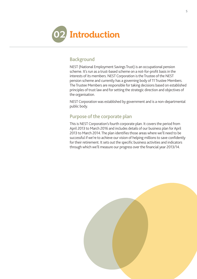

## **Background**

NEST (National Employment Savings Trust) is an occupational pension scheme. It's run as a trust-based scheme on a not-for-profit basis in the interests of its members. NEST Corporation is the Trustee of the NEST pension scheme and currently has a governing body of 11 Trustee Members. The Trustee Members are responsible for taking decisions based on established principles of trust law and for setting the strategic direction and objectives of the organisation.

NEST Corporation was established by government and is a non-departmental public body.

## Purpose of the corporate plan

This is NEST Corporation's fourth corporate plan. It covers the period from April 2013 to March 2016 and includes details of our business plan for April 2013 to March 2014. The plan identifies those areas where we'll need to be successful if we're to achieve our vision of helping millions to save confidently for their retirement. It sets out the specific business activities and indicators through which we'll measure our progress over the financial year 2013/14.

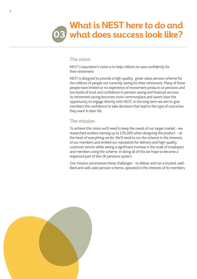## **What is NEST here to do and 03 what does success look like?**

## The vision

NEST Corporation's vision is to help millions to save confidently for their retirement.

NEST is designed to provide a high-quality, great-value pension scheme for the millions of people not currently saving for their retirement. Many of these people have limited or no experience of investment products or pensions and low levels of trust and confidence in pension saving and financial services. As retirement saving becomes more commonplace and savers have the opportunity to engage directly with NEST, in the long term we aim to give members the confidence to take decisions that lead to the type of outcomes they want in later life.

## The mission

To achieve this vision we'll need to keep the needs of our target market - we researched workers earning up to £35,000 when designing the product - at the heart of everything we do. We'll need to run the scheme in the interests of our members and embed our reputation for delivery and high-quality customer service while seeing a significant increase in the scale of employers and members using the scheme. In doing all of this we hope to become a respected part of the UK pensions system.

Our mission summarises these challenges – to deliver and run a trusted, wellliked and well-used pension scheme, operated in the interests of its members.

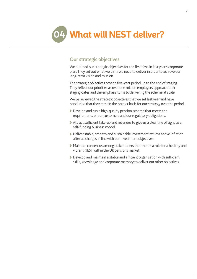# **04 What will NEST deliver?**

## Our strategic objectives

We outlined our strategic objectives for the first time in last year's corporate plan. They set out what we think we need to deliver in order to achieve our long-term vision and mission.

The strategic objectives cover a five-year period up to the end of staging. They reflect our priorities as over one million employers approach their staging dates and the emphasis turns to delivering the scheme at scale.

We've reviewed the strategic objectives that we set last year and have concluded that they remain the correct basis for our strategy over the period.

- Develop and run a high-quality pension scheme that meets the requirements of our customers and our regulatory obligations.
- Attract sufficient take-up and revenues to give us a clear line of sight to a self-funding business model.
- Deliver stable, smooth and sustainable investment returns above inflation after all charges in line with our investment objectives.
- Maintain consensus among stakeholders that there's a role for a healthy and vibrant NEST within the UK pensions market.
- Develop and maintain a stable and efficient organisation with sufficient skills, knowledge and corporate memory to deliver our other objectives.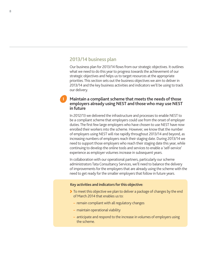## 2013/14 business plan

Our business plan for 2013/14 flows from our strategic objectives. It outlines what we need to do this year to progress towards the achievement of our strategic objectives and helps us to target resources at the appropriate priorities. This section sets out the business objectives we aim to deliver in 2013/14 and the key business activities and indicators we'll be using to track our delivery.

**Maintain a compliant scheme that meets the needs of those employers already using NEST and those who may use NEST in future**

In 2012/13 we delivered the infrastructure and processes to enable NEST to be a compliant scheme that employers could use from the onset of employer duties. The first few large employers who have chosen to use NEST have now enrolled their workers into the scheme. However, we know that the number of employers using NEST will rise rapidly throughout 2013/14 and beyond, as increasing numbers of employers reach their staging date. During 2013/14 we need to support those employers who reach their staging date this year, while continuing to develop the online tools and services to enable a 'self-service' experience as employer volumes increase in subsequent years.

In collaboration with our operational partners, particularly our scheme administrators Tata Consultancy Services, we'll need to balance the delivery of improvements for the employers that are already using the scheme with the need to get ready for the smaller employers that follow in future years.

- To meet this objective we plan to deliver a package of changes by the end of March 2014 that enables us to:
	- remain compliant with all regulatory changes
	- maintain operational viability
	- anticipate and respond to the increase in volumes of employers using the scheme.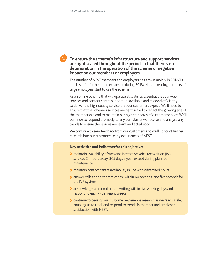#### **To ensure the scheme's infrastructure and support services are right scaled throughout the period so that there's no deterioration in the operation of the scheme or negative impact on our members or employers 2**

The number of NEST members and employers has grown rapidly in 2012/13 and is set for further rapid expansion during 2013/14 as increasing numbers of large employers start to use the scheme.

As an online scheme that will operate at scale it's essential that our web services and contact centre support are available and respond efficiently to deliver the high-quality service that our customers expect. We'll need to ensure that the scheme's services are right scaled to reflect the growing size of the membership and to maintain our high standards of customer service. We'll continue to respond promptly to any complaints we receive and analyse any trends to ensure the lessons are learnt and acted upon.

We continue to seek feedback from our customers and we'll conduct further research into our customers' early experiences of NEST.

- maintain availability of web and interactive voice recognition (IVR) services 24 hours a day, 365 days a year, except during planned maintenance
- maintain contact centre availability in line with advertised hours
- answer calls to the contact centre within 60 seconds, and five seconds for the IVR system
- **>** acknowledge all complaints in writing within five working days and respond to each within eight weeks
- **Continue to develop our customer experience research as we reach scale,** enabling us to track and respond to trends in member and employer satisfaction with NEST.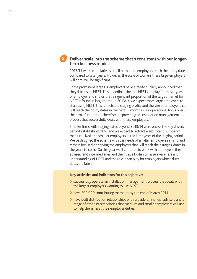#### **Deliver scale into the scheme that's consistent with our longerterm business model 3**

2013/14 will see a relatively small number of employers reach their duty dates compared to later years. However, the scale of workers these large employers will enrol will be significant.

Some prominent large UK employers have already publicly announced that they'll be using NEST. This underlines the role NEST can play for these types of employer and shows that a significant proportion of the target market for NEST is found in larger firms. In 2013/14 we expect more large employers to start using NEST. This reflects the staging profile and the size of employer that will reach their duty dates in the next 12 months. Our operational focus over the next 12 months is therefore on providing an installation management process that successfully deals with these employers.

Smaller firms with staging dates beyond 2013/14 were one of the key drivers behind establishing NEST and we expect to attract a significant number of medium-sized and smaller employers in the later years of the staging period. We've designed the scheme with the needs of smaller employers in mind and remain focused on serving the employers that will reach their staging dates in the years to come. So this year we'll continue to work with employers, their advisers and intermediaries and their trade bodies to raise awareness and understanding of NEST and the role it can play for employers whose duty dates are later.

- successfully operate an installation management process that deals with the largest employers wanting to use NEST
- have 500,000 contributing members by the end of March 2014
- have built distribution relationships with providers, financial advisers and a range of other intermediaries that medium and smaller employers will use to help them meet their employer duties.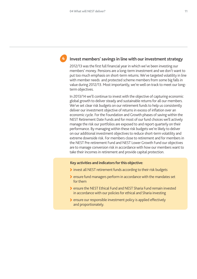**4**

### **Invest members' savings in line with our investment strategy**

2012/13 was the first full financial year in which we've been investing our members' money. Pensions are a long-term investment and we don't want to put too much emphasis on short-term returns. We've targeted volatility in line with member needs and protected scheme members from some big falls in value during 2012/13. Most importantly, we're well on track to meet our longterm objectives.

In 2013/14 we'll continue to invest with the objective of capturing economic global growth to deliver steady and sustainable returns for all our members. We've set clear risk budgets on our retirement funds to help us consistently deliver our investment objective of returns in excess of inflation over an economic cycle. For the Foundation and Growth phases of saving within the NEST Retirement Date Funds and for most of our fund choices we'll actively manage the risk our portfolios are exposed to and report quarterly on their performance. By managing within these risk budgets we're likely to deliver on our additional investment objectives to reduce short-term volatility and extreme downside risk. For members close to retirement and for members in the NEST Pre-retirement Fund and NEST Lower Growth Fund our objectives are to manage conversion risk in accordance with how our members want to take their incomes in retirement and provide capital protection.

- If invest all NEST retirement funds according to their risk budgets
- ensure fund managers perform in accordance with the mandates set for them
- ensure the NEST Ethical Fund and NEST Sharia Fund remain invested in accordance with our policies for ethical and Sharia investing
- ensure our responsible investment policy is applied effectively and proportionately.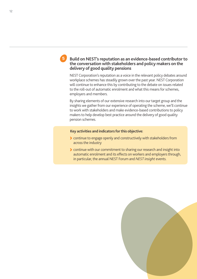#### **Build on NEST's reputation as an evidence-based contributor to the conversation with stakeholders and policy makers on the delivery of good quality pensions 5**

NEST Corporation's reputation as a voice in the relevant policy debates around workplace schemes has steadily grown over the past year. NEST Corporation will continue to enhance this by contributing to the debate on issues related to the roll-out of automatic enrolment and what this means for schemes, employers and members.

By sharing elements of our extensive research into our target group and the insights we gather from our experience of operating the scheme, we'll continue to work with stakeholders and make evidence-based contributions to policy makers to help develop best practice around the delivery of good quality pension schemes.

- continue to engage openly and constructively with stakeholders from across the industry
- continue with our commitment to sharing our research and insight into automatic enrolment and its effects on workers and employers through, in particular, the annual NEST Forum and *NEST insight* events.

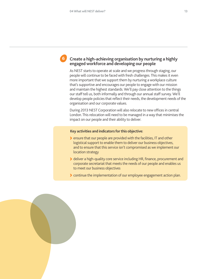#### **Create a high-achieving organisation by nurturing a highly engaged workforce and developing our people 6**

As NEST starts to operate at scale and we progress through staging, our people will continue to be faced with fresh challenges. This makes it even more important that we support them by nurturing a workplace culture that's supportive and encourages our people to engage with our mission and maintain the highest standards. We'll pay close attention to the things our staff tell us, both informally and through our annual staff survey. We'll develop people policies that reflect their needs, the development needs of the organisation and our corporate values.

During 2013 NEST Corporation will also relocate to new offices in central London. This relocation will need to be managed in a way that minimises the impact on our people and their ability to deliver.

- ensure that our people are provided with the facilities, IT and other logistical support to enable them to deliver our business objectives, and to ensure that this service isn't compromised as we implement our location strategy
- deliver a high-quality core service including HR, finance, procurement and corporate secretariat that meets the needs of our people and enables us to meet our business objectives
- continue the implementation of our employee engagement action plan.

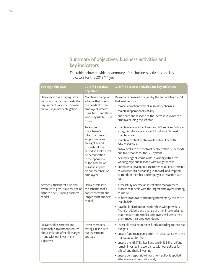## Summary of objectives, business activities and key indicators

The table below provides a summary of the business activities and key indicators for the 2013/14 year.

|  | <b>Strategic objective</b>                                                                                                                                                                                              | 2013/14 business<br>objectives                                                                                                                                                                                                                       | 2013/14 business activities and key indicators                                                                                                                                                                                                                                                                                                                                                                                                                                                                                                                                                       |  |  |  |
|--|-------------------------------------------------------------------------------------------------------------------------------------------------------------------------------------------------------------------------|------------------------------------------------------------------------------------------------------------------------------------------------------------------------------------------------------------------------------------------------------|------------------------------------------------------------------------------------------------------------------------------------------------------------------------------------------------------------------------------------------------------------------------------------------------------------------------------------------------------------------------------------------------------------------------------------------------------------------------------------------------------------------------------------------------------------------------------------------------------|--|--|--|
|  | Deliver and run a high-quality<br>pension scheme that meets the<br>requirements of our customers<br>and our regulatory obligations                                                                                      | Maintain a compliant<br>scheme that meets<br>the needs of those<br>employers already<br>using NEST and those<br>who may use NEST in<br>future                                                                                                        | Deliver a package of changes by the end of March 2014<br>that enables us to:<br>• remain compliant with all regulatory changes<br>· maintain operational viability<br>anticipate and respond to the increase in volumes of<br>employers using the scheme                                                                                                                                                                                                                                                                                                                                             |  |  |  |
|  |                                                                                                                                                                                                                         | To ensure<br>the scheme's<br>infrastructure and<br>support services<br>are right scaled<br>throughout the<br>period so that there's<br>no deterioration<br>in the operation<br>of the scheme or<br>negative impact<br>on our members or<br>employers | • maintain availability of web and IVR services 24 hours<br>a day, 365 days a year, except for during planned<br>maintenance<br>• maintain contact centre availability in line with<br>advertised hours<br>answer calls to the contract centre within 60 seconds,<br>and five seconds for the IVR system<br>• acknowledge all complaints in writing within five<br>working days and respond within eight weeks<br>• continue to develop our customer experience research<br>as we reach scale, enabling us to track and respond<br>to trends in member and employer satisfaction with<br><b>NEST</b> |  |  |  |
|  | Attract sufficient take-up and<br>revenues to give us a clear line of<br>sight to a self-funding business<br>model                                                                                                      | Deliver scale into<br>the scheme that's<br>consistent with our<br>longer-term business<br>model                                                                                                                                                      | · successfully operate an installation management<br>process that deals with the largest employers wanting<br>to use NEST<br>• to have 500,000 contributing members by the end of<br>March 2014<br>• have built distribution relationships with providers,<br>financial advisers and a range of other intermediaries<br>that medium and smaller employers will use to help<br>them meet their employer duties                                                                                                                                                                                        |  |  |  |
|  | Deliver stable, smooth and<br>Invest members'<br>sustainable investment returns<br>savings in line with<br>above inflation after all charges<br>our investment<br>in line with our investment<br>strategy<br>objectives |                                                                                                                                                                                                                                                      | • invest all NEST retirement funds according to their risk<br>budgets<br>• ensure fund managers perform in accordance with the<br>mandates set for them<br>• ensure the NEST Ethical Fund and NEST Sharia Fund<br>remain invested in accordance with our policies for<br>ethical and sharia investing<br>· ensure our responsible investment policy is applied<br>effectively and proportionately                                                                                                                                                                                                    |  |  |  |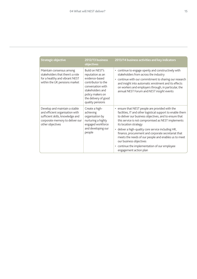| <b>Strategic objective</b>                                                                                                                                  | 2012/13 business<br>objectives                                                                                                                                                              | 2013/14 business activities and key indicators                                                                                                                                                                                                                                                                                                                                                                                                                                                                                   |
|-------------------------------------------------------------------------------------------------------------------------------------------------------------|---------------------------------------------------------------------------------------------------------------------------------------------------------------------------------------------|----------------------------------------------------------------------------------------------------------------------------------------------------------------------------------------------------------------------------------------------------------------------------------------------------------------------------------------------------------------------------------------------------------------------------------------------------------------------------------------------------------------------------------|
| Maintain consensus among<br>stakeholders that there's a role<br>for a healthy and vibrant NEST<br>within the UK pensions market                             | <b>Build on NEST's</b><br>reputation as an<br>evidence-based<br>contributor to the<br>conversation with<br>stakeholders and<br>policy makers on<br>the delivery of good<br>quality pensions | • continue to engage openly and constructively with<br>stakeholders from across the industry<br>• continue with our commitment to sharing our research<br>and insight into automatic enrolment and its effects<br>on workers and employers through, in particular, the<br>annual NEST Forum and NEST insight events                                                                                                                                                                                                              |
| Develop and maintain a stable<br>and efficient organisation with<br>sufficient skills, knowledge and<br>corporate memory to deliver our<br>other objectives | Create a high-<br>achieving<br>organisation by<br>nurturing a highly<br>engaged workforce<br>and developing our<br>people                                                                   | • ensure that NEST people are provided with the<br>facilities, IT and other logistical support to enable them<br>to deliver our business objectives, and to ensure that<br>this service is not compromised as NEST implements<br>its location strategy<br>· deliver a high-quality core service including HR,<br>finance, procurement and corporate secretariat that<br>meets the needs of our people and enables us to meet<br>our business objectives<br>continue the implementation of our employee<br>engagement action plan |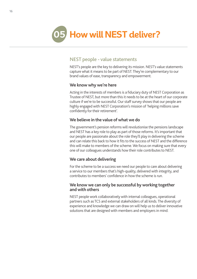

## NEST people - value statements

NEST's people are the key to delivering its mission. NEST's value statements capture what it means to be part of NEST. They're complementary to our brand values of ease, transparency and empowerment.

## **We know why we're here**

Acting in the interests of members is a fiduciary duty of NEST Corporation as Trustee of NEST, but more than this it needs to be at the heart of our corporate culture if we're to be successful. Our staff survey shows that our people are highly engaged with NEST Corporation's mission of 'helping millions save confidently for their retirement'.

## **We believe in the value of what we do**

The government's pension reforms will revolutionise the pensions landscape and NEST has a key role to play as part of those reforms. It's important that our people are passionate about the role they'll play in delivering the scheme and can relate this back to how it fits to the success of NEST and the difference this will make to members of the scheme. We focus on making sure that every one of our colleagues understands how their role contributes to NEST.

## **We care about delivering**

For the scheme to be a success we need our people to care about delivering a service to our members that's high-quality, delivered with integrity, and contributes to members' confidence in how the scheme is run.

### **We know we can only be successful by working together and with others**

NEST people work collaboratively with internal colleagues, operational partners such as TCS and external stakeholders of all kinds. The diversity of experience and knowledge we can draw on will help us to deliver innovative solutions that are designed with members and employers in mind.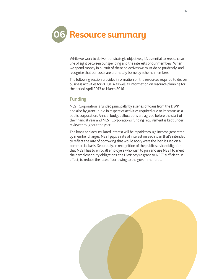## **06 Resource summary**

While we work to deliver our strategic objectives, it's essential to keep a clear line of sight between our spending and the interests of our members. When we spend money in pursuit of these objectives we must do so prudently, and recognise that our costs are ultimately borne by scheme members.

The following section provides information on the resources required to deliver business activities for 2013/14 as well as information on resource planning for the period April 2013 to March 2016.

## Funding

NEST Corporation is funded principally by a series of loans from the DWP and also by grant-in-aid in respect of activities required due to its status as a public corporation. Annual budget allocations are agreed before the start of the financial year and NEST Corporation's funding requirement is kept under review throughout the year.

The loans and accumulated interest will be repaid through income generated by member charges. NEST pays a rate of interest on each loan that's intended to reflect the rate of borrowing that would apply were the loan issued on a commercial basis. Separately, in recognition of the public service obligation that NEST has to enrol all employers who wish to join and use NEST to meet their employer duty obligations, the DWP pays a grant to NEST sufficient, in effect, to reduce the rate of borrowing to the government rate.

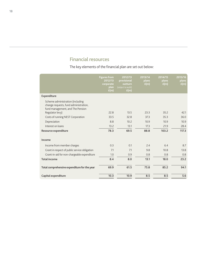## Financial resources

The key elements of the financial plan are set out below:

|                                                                                                                                  | <b>Figures from</b><br>2012/13<br>corporate<br>plan<br>E(m) | 2012/13<br>provisional<br>outturn<br>(subject to audit)<br>E(m) | 2013/14<br>plans<br>E(m) | 2014/15<br>plans<br>E(m) | 2015/16<br>plans<br>E(m) |
|----------------------------------------------------------------------------------------------------------------------------------|-------------------------------------------------------------|-----------------------------------------------------------------|--------------------------|--------------------------|--------------------------|
| Expenditure                                                                                                                      |                                                             |                                                                 |                          |                          |                          |
| Scheme administration (including<br>change requests, fund administration,<br>fund management, and The Pension<br>Regulator levy) | 22.8                                                        | 13.5                                                            | 23.3                     | 35.2                     | 42.1                     |
| Costs of running NEST Corporation                                                                                                | 33.5                                                        | 32.8                                                            | 37.3                     | 35.3                     | 36.0                     |
| Depreciation                                                                                                                     | 8.8                                                         | 10.2                                                            | 10.9                     | 10.9                     | 10.9                     |
| Interest on loans                                                                                                                | 13.2                                                        | 13.1                                                            | 17.3                     | 21.9                     | 28.4                     |
| Resource expenditure                                                                                                             | 78.3                                                        | 69.5                                                            | 88.8                     | 103.2                    | 117.3                    |
| Income                                                                                                                           |                                                             |                                                                 |                          |                          |                          |
| Income from member charges                                                                                                       | 0.3                                                         | 0.1                                                             | 74                       | 6.4                      | 8.7                      |
| Grant in respect of public service obligation                                                                                    | 7.1                                                         | 7.1                                                             | 9.8                      | 10.8                     | 13.8                     |
| Grant-in-aid for non-chargeable expenditure                                                                                      | 1.0                                                         | 0.9                                                             | 0.8                      | 0.8                      | 0.8                      |
| <b>Total income</b>                                                                                                              | 8.4                                                         | 8.0                                                             | 13.1                     | 18.0                     | 23.2                     |
| Total comprehensive expenditure for the year                                                                                     | 69.9                                                        | 61.5                                                            | 75.8                     | 85.2                     | 94.1                     |
| Capital expenditure                                                                                                              | 10.3                                                        | 10.9                                                            | 8.5                      | 8.5                      | 5.6                      |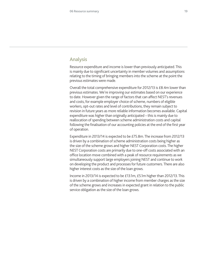## Analysis

Resource expenditure and income is lower than previously anticipated. This is mainly due to significant uncertainty in member volumes and assumptions relating to the timing of bringing members into the scheme at the point the previous estimates were made.

Overall the total comprehensive expenditure for 2012/13 is £8.4m lower than previous estimates. We're improving our estimates based on our experience to date. However given the range of factors that can affect NEST's revenues and costs, for example employer choice of scheme, numbers of eligible workers, opt-out rates and level of contributions, they remain subject to revision in future years as more reliable information becomes available. Capital expenditure was higher than originally anticipated – this is mainly due to reallocation of spending between scheme administration costs and capital following the finalisation of our accounting policies at the end of the first year of operation.

Expenditure in 2013/14 is expected to be £75.8m. The increase from 2012/13 is driven by a combination of scheme administration costs being higher as the size of the scheme grows and higher NEST Corporation costs. The higher NEST Corporation costs are primarily due to one-off costs associated with an office location move combined with a peak of resource requirements as we simultaneously support large employers joining NEST and continue to work on developing the product and processes for future customers. There are also higher interest costs as the size of the loan grows.

Income in 2013/14 is expected to be £13.1m, £5.1m higher than 2012/13. This is driven by a combination of higher income from member charges as the size of the scheme grows and increases in expected grant in relation to the public service obligation as the size of the loan grows.